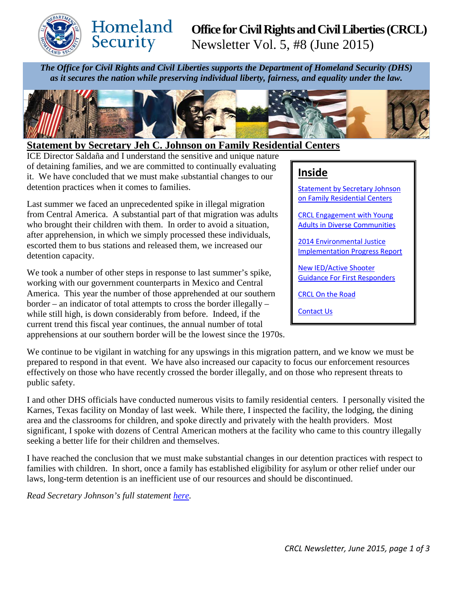

# Homeland Security

## **Office for Civil Rights and Civil Liberties (CRCL)** Newsletter Vol. 5, #8 (June 2015)

*The Office for Civil Rights and Civil Liberties supports the Department of Homeland Security (DHS)* 

*as it secures the nation while preserving individual liberty, fairness, and equality under the law.*



## <span id="page-0-0"></span>**Statement by Secretary Jeh C. Johnson on Family Residential Centers**

ICE Director Saldaña and I understand the sensitive and unique nature of detaining families, and we are committed to continually evaluating it. We have concluded that we must make substantial changes to our detention practices when it comes to families.

Last summer we faced an unprecedented spike in illegal migration from Central America. A substantial part of that migration was adults who brought their children with them. In order to avoid a situation, after apprehension, in which we simply processed these individuals, escorted them to bus stations and released them, we increased our detention capacity.

We took a number of other steps in response to last summer's spike, working with our government counterparts in Mexico and Central America. This year the number of those apprehended at our southern border – an indicator of total attempts to cross the border illegally – while still high, is down considerably from before. Indeed, if the current trend this fiscal year continues, the annual number of total apprehensions at our southern border will be the lowest since the 1970s.

## **Inside**

[Statement by Secretary](#page-0-0) Johnson [on Family Residential Centers](#page-0-0)

CRCL [Engagement](#page-1-0) with Young Adults in [Diverse Communities](#page-1-0)

[2014 Environmental Justice](#page-1-1)  [Implementation](#page-1-1) Progress Report

[New IED/Active Shooter](#page-1-2)  [Guidance For First Responders](#page-1-2) 

[CRCL On the Road](#page-2-0)

[Contact Us](#page-2-1)

We continue to be vigilant in watching for any upswings in this migration pattern, and we know we must be prepared to respond in that event. We have also increased our capacity to focus our enforcement resources effectively on those who have recently crossed the border illegally, and on those who represent threats to public safety.

I and other DHS officials have conducted numerous visits to family residential centers. I personally visited the Karnes, Texas facility on Monday of last week. While there, I inspected the facility, the lodging, the dining area and the classrooms for children, and spoke directly and privately with the health providers. Most significant, I spoke with dozens of Central American mothers at the facility who came to this country illegally seeking a better life for their children and themselves.

I have reached the conclusion that we must make substantial changes in our detention practices with respect to families with children. In short, once a family has established eligibility for asylum or other relief under our laws, long-term detention is an inefficient use of our resources and should be discontinued.

*Read Secretary Johnson's full statement [here.](http://www.dhs.gov/news/2015/06/24/statement-secretary-jeh-c-johnson-family-residential-centers)*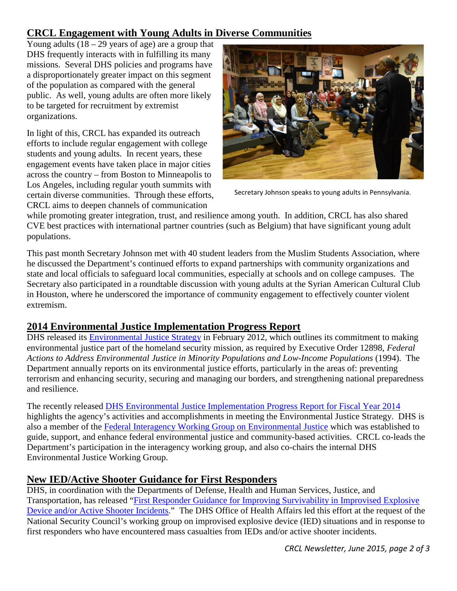## <span id="page-1-0"></span>**CRCL Engagement with Young Adults in Diverse Communities**

Young adults  $(18 - 29)$  years of age) are a group that DHS frequently interacts with in fulfilling its many missions. Several DHS policies and programs have a disproportionately greater impact on this segment of the population as compared with the general public. As well, young adults are often more likely to be targeted for recruitment by extremist organizations.

In light of this, CRCL has expanded its outreach efforts to include regular engagement with college students and young adults. In recent years, these engagement events have taken place in major cities across the country – from Boston to Minneapolis to Los Angeles, including regular youth summits with certain diverse communities. Through these efforts, CRCL aims to deepen channels of communication



Secretary Johnson speaks to young adults in Pennsylvania.

while promoting greater integration, trust, and resilience among youth. In addition, CRCL has also shared CVE best practices with international partner countries (such as Belgium) that have significant young adult populations.

This past month Secretary Johnson met with 40 student leaders from the Muslim Students Association, where he discussed the Department's continued efforts to expand partnerships with community organizations and state and local officials to safeguard local communities, especially at schools and on college campuses. The Secretary also participated in a roundtable discussion with young adults at the Syrian American Cultural Club in Houston, where he underscored the importance of community engagement to effectively counter violent extremism.

## <span id="page-1-1"></span>**2014 Environmental Justice Implementation Progress Report**

DHS released its [Environmental Justice Strategy](https://www.dhs.gov/dhs-environmental-justice-strategy) in February 2012, which outlines its commitment to making environmental justice part of the homeland security mission, as required by Executive Order 12898, *Federal Actions to Address Environmental Justice in Minority Populations and Low-Income Populations* (1994). The Department annually reports on its environmental justice efforts, particularly in the areas of: preventing terrorism and enhancing security, securing and managing our borders, and strengthening national preparedness and resilience.

The recently released [DHS Environmental Justice Implementation Progress Report for Fiscal Year 2014](https://www.dhs.gov/sites/default/files/publications/Annual%20Implementation%20Progress%20Report%20for%20Fiscal%20Year%202014_0.pdf) highlights the agency's activities and accomplishments in meeting the Environmental Justice Strategy. DHS is also a member of the [Federal Interagency Working Group on Environmental Justice](http://www.epa.gov/environmentaljustice/interagency/index.html) which was established to guide, support, and enhance federal environmental justice and community-based activities. CRCL co-leads the Department's participation in the interagency working group, and also co-chairs the internal DHS Environmental Justice Working Group.

## <span id="page-1-2"></span>**New IED/Active Shooter Guidance for First Responders**

DHS, in coordination with the Departments of Defense, Health and Human Services, Justice, and Transportation, has released "First Responder Guidance for Improving Survivability in Improvised Explosive [Device and/or Active Shooter Incidents.](http://www.dhs.gov/publication/iedactive-shooter-guidance-first-responders)" The DHS Office of Health Affairs led this effort at the request of the National Security Council's working group on improvised explosive device (IED) situations and in response to first responders who have encountered mass casualties from IEDs and/or active shooter incidents.